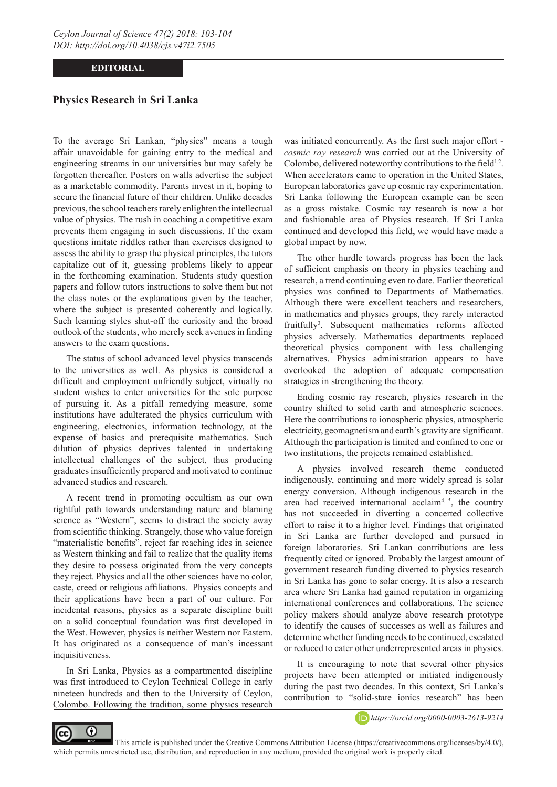## **EDITORIAL**

## **Physics Research in Sri Lanka**

To the average Sri Lankan, "physics" means a tough affair unavoidable for gaining entry to the medical and engineering streams in our universities but may safely be forgotten thereafter. Posters on walls advertise the subject as a marketable commodity. Parents invest in it, hoping to secure the financial future of their children. Unlike decades previous, the school teachers rarely enlighten the intellectual value of physics. The rush in coaching a competitive exam prevents them engaging in such discussions. If the exam questions imitate riddles rather than exercises designed to assess the ability to grasp the physical principles, the tutors capitalize out of it, guessing problems likely to appear in the forthcoming examination. Students study question papers and follow tutors instructions to solve them but not the class notes or the explanations given by the teacher, where the subject is presented coherently and logically. Such learning styles shut-off the curiosity and the broad outlook of the students, who merely seek avenues in finding answers to the exam questions.

The status of school advanced level physics transcends to the universities as well. As physics is considered a difficult and employment unfriendly subject, virtually no student wishes to enter universities for the sole purpose of pursuing it. As a pitfall remedying measure, some institutions have adulterated the physics curriculum with engineering, electronics, information technology, at the expense of basics and prerequisite mathematics. Such dilution of physics deprives talented in undertaking intellectual challenges of the subject, thus producing graduates insufficiently prepared and motivated to continue advanced studies and research.

A recent trend in promoting occultism as our own rightful path towards understanding nature and blaming science as "Western", seems to distract the society away from scientific thinking. Strangely, those who value foreign "materialistic benefits", reject far reaching ides in science as Western thinking and fail to realize that the quality items they desire to possess originated from the very concepts they reject. Physics and all the other sciences have no color, caste, creed or religious affiliations. Physics concepts and their applications have been a part of our culture. For incidental reasons, physics as a separate discipline built on a solid conceptual foundation was first developed in the West. However, physics is neither Western nor Eastern. It has originated as a consequence of man's incessant inquisitiveness.

In Sri Lanka, Physics as a compartmented discipline was first introduced to Ceylon Technical College in early nineteen hundreds and then to the University of Ceylon, Colombo. Following the tradition, some physics research

was initiated concurrently. As the first such major effort *cosmic ray research* was carried out at the University of Colombo, delivered noteworthy contributions to the field<sup>1,2</sup>. When accelerators came to operation in the United States, European laboratories gave up cosmic ray experimentation. Sri Lanka following the European example can be seen as a gross mistake. Cosmic ray research is now a hot and fashionable area of Physics research. If Sri Lanka continued and developed this field, we would have made a global impact by now.

The other hurdle towards progress has been the lack of sufficient emphasis on theory in physics teaching and research, a trend continuing even to date. Earlier theoretical physics was confined to Departments of Mathematics. Although there were excellent teachers and researchers, in mathematics and physics groups, they rarely interacted fruitfully<sup>3</sup>. Subsequent mathematics reforms affected physics adversely. Mathematics departments replaced theoretical physics component with less challenging alternatives. Physics administration appears to have overlooked the adoption of adequate compensation strategies in strengthening the theory.

Ending cosmic ray research, physics research in the country shifted to solid earth and atmospheric sciences. Here the contributions to ionospheric physics, atmospheric electricity, geomagnetism and earth's gravity are significant. Although the participation is limited and confined to one or two institutions, the projects remained established.

A physics involved research theme conducted indigenously, continuing and more widely spread is solar energy conversion. Although indigenous research in the area had received international acclaim<sup>4,  $5$ </sup>, the country has not succeeded in diverting a concerted collective effort to raise it to a higher level. Findings that originated in Sri Lanka are further developed and pursued in foreign laboratories. Sri Lankan contributions are less frequently cited or ignored. Probably the largest amount of government research funding diverted to physics research in Sri Lanka has gone to solar energy. It is also a research area where Sri Lanka had gained reputation in organizing international conferences and collaborations. The science policy makers should analyze above research prototype to identify the causes of successes as well as failures and determine whether funding needs to be continued, escalated or reduced to cater other underrepresented areas in physics.

It is encouraging to note that several other physics projects have been attempted or initiated indigenously during the past two decades. In this context, Sri Lanka's contribution to "solid-state ionics research" has been



*https://orcid.org/0000-0003-2613-9214*

 This article is published under the Creative Commons Attribution License (https://creativecommons.org/licenses/by/4.0/), which permits unrestricted use, distribution, and reproduction in any medium, provided the original work is properly cited.